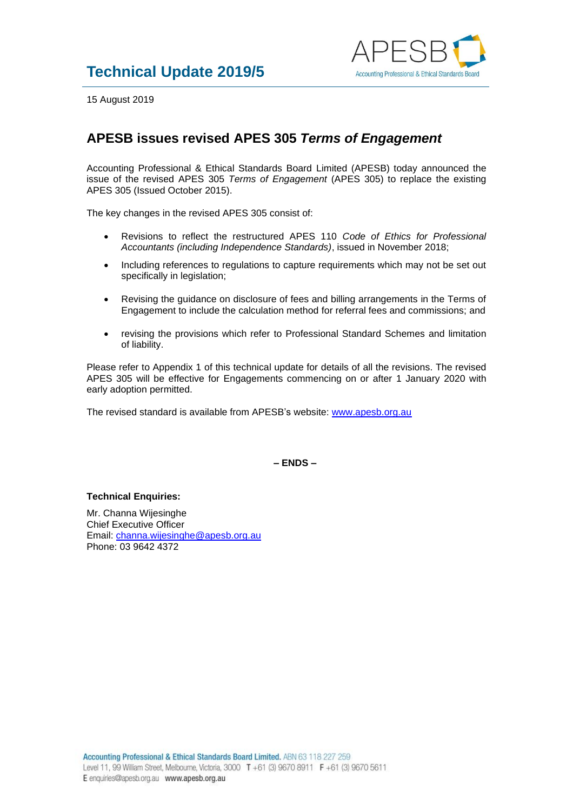

15 August 2019

## **APESB issues revised APES 305** *Terms of Engagement*

Accounting Professional & Ethical Standards Board Limited (APESB) today announced the issue of the revised APES 305 *Terms of Engagement* (APES 305) to replace the existing APES 305 (Issued October 2015).

The key changes in the revised APES 305 consist of:

- Revisions to reflect the restructured APES 110 *Code of Ethics for Professional Accountants (including Independence Standards)*, issued in November 2018;
- Including references to regulations to capture requirements which may not be set out specifically in legislation;
- Revising the guidance on disclosure of fees and billing arrangements in the Terms of Engagement to include the calculation method for referral fees and commissions; and
- revising the provisions which refer to Professional Standard Schemes and limitation of liability.

Please refer to Appendix 1 of this technical update for details of all the revisions. The revised APES 305 will be effective for Engagements commencing on or after 1 January 2020 with early adoption permitted.

The revised standard is available from APESB's website: [www.apesb.org.au](http://www.apesb.org.au/)

**– ENDS –**

## **Technical Enquiries:**

Mr. Channa Wijesinghe Chief Executive Officer Email: [channa.wijesinghe@apesb.org.au](mailto:channa.wijesinghe@apesb.org.au) Phone: 03 9642 4372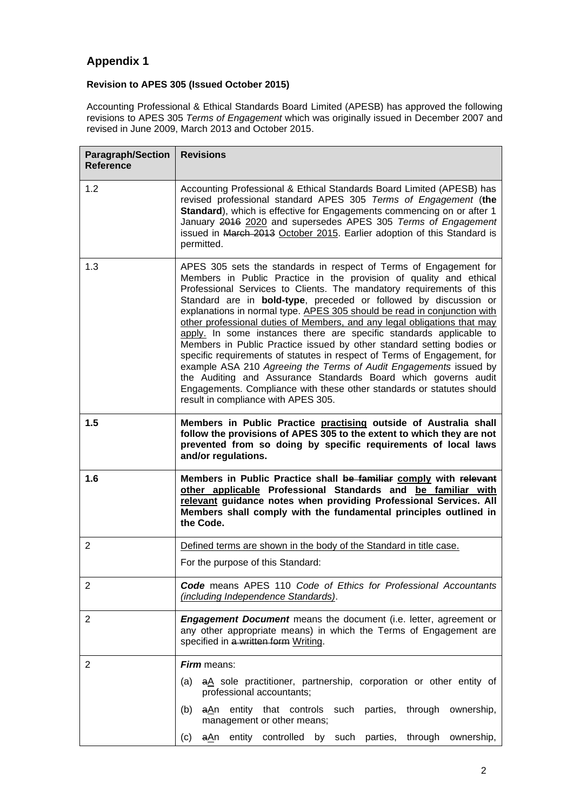## **Appendix 1**

## **Revision to APES 305 (Issued October 2015)**

Accounting Professional & Ethical Standards Board Limited (APESB) has approved the following revisions to APES 305 *Terms of Engagement* which was originally issued in December 2007 and revised in June 2009, March 2013 and October 2015.

| <b>Paragraph/Section</b><br><b>Reference</b> | <b>Revisions</b>                                                                                                                                                                                                                                                                                                                                                                                                                                                                                                                                                                                                                                                                                                                                                                                                                                                                                                               |
|----------------------------------------------|--------------------------------------------------------------------------------------------------------------------------------------------------------------------------------------------------------------------------------------------------------------------------------------------------------------------------------------------------------------------------------------------------------------------------------------------------------------------------------------------------------------------------------------------------------------------------------------------------------------------------------------------------------------------------------------------------------------------------------------------------------------------------------------------------------------------------------------------------------------------------------------------------------------------------------|
| 1.2                                          | Accounting Professional & Ethical Standards Board Limited (APESB) has<br>revised professional standard APES 305 Terms of Engagement (the<br>Standard), which is effective for Engagements commencing on or after 1<br>January 2016 2020 and supersedes APES 305 Terms of Engagement<br>issued in March 2013 October 2015. Earlier adoption of this Standard is<br>permitted.                                                                                                                                                                                                                                                                                                                                                                                                                                                                                                                                                   |
| 1.3                                          | APES 305 sets the standards in respect of Terms of Engagement for<br>Members in Public Practice in the provision of quality and ethical<br>Professional Services to Clients. The mandatory requirements of this<br>Standard are in bold-type, preceded or followed by discussion or<br>explanations in normal type. APES 305 should be read in conjunction with<br>other professional duties of Members, and any legal obligations that may<br>apply. In some instances there are specific standards applicable to<br>Members in Public Practice issued by other standard setting bodies or<br>specific requirements of statutes in respect of Terms of Engagement, for<br>example ASA 210 Agreeing the Terms of Audit Engagements issued by<br>the Auditing and Assurance Standards Board which governs audit<br>Engagements. Compliance with these other standards or statutes should<br>result in compliance with APES 305. |
| 1.5                                          | Members in Public Practice practising outside of Australia shall<br>follow the provisions of APES 305 to the extent to which they are not<br>prevented from so doing by specific requirements of local laws<br>and/or regulations.                                                                                                                                                                                                                                                                                                                                                                                                                                                                                                                                                                                                                                                                                             |
| 1.6                                          | Members in Public Practice shall be familiar comply with relevant<br>other applicable Professional Standards and be familiar with<br>relevant guidance notes when providing Professional Services. All<br>Members shall comply with the fundamental principles outlined in<br>the Code.                                                                                                                                                                                                                                                                                                                                                                                                                                                                                                                                                                                                                                        |
| $\overline{2}$                               | Defined terms are shown in the body of the Standard in title case.                                                                                                                                                                                                                                                                                                                                                                                                                                                                                                                                                                                                                                                                                                                                                                                                                                                             |
|                                              | For the purpose of this Standard:                                                                                                                                                                                                                                                                                                                                                                                                                                                                                                                                                                                                                                                                                                                                                                                                                                                                                              |
| $\overline{2}$                               | <b>Code</b> means APES 110 Code of Ethics for Professional Accountants<br>(including Independence Standards).                                                                                                                                                                                                                                                                                                                                                                                                                                                                                                                                                                                                                                                                                                                                                                                                                  |
| $\overline{2}$                               | <b>Engagement Document</b> means the document (i.e. letter, agreement or<br>any other appropriate means) in which the Terms of Engagement are<br>specified in a written form Writing.                                                                                                                                                                                                                                                                                                                                                                                                                                                                                                                                                                                                                                                                                                                                          |
| 2                                            | <b>Firm</b> means:                                                                                                                                                                                                                                                                                                                                                                                                                                                                                                                                                                                                                                                                                                                                                                                                                                                                                                             |
|                                              | aA sole practitioner, partnership, corporation or other entity of<br>(a)<br>professional accountants;                                                                                                                                                                                                                                                                                                                                                                                                                                                                                                                                                                                                                                                                                                                                                                                                                          |
|                                              | entity that controls such parties, through ownership,<br>(b)<br><u>aA</u> n<br>management or other means;                                                                                                                                                                                                                                                                                                                                                                                                                                                                                                                                                                                                                                                                                                                                                                                                                      |
|                                              | aAn entity controlled<br>by such parties, through ownership,<br>(c)                                                                                                                                                                                                                                                                                                                                                                                                                                                                                                                                                                                                                                                                                                                                                                                                                                                            |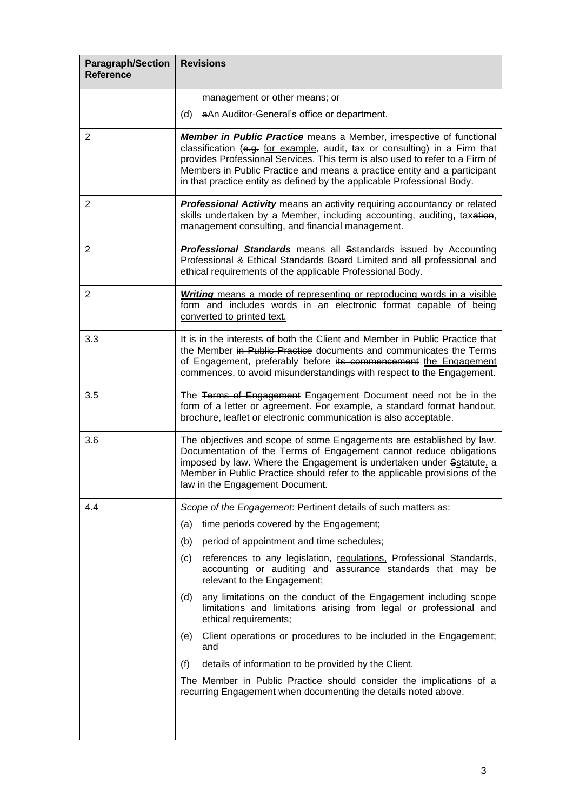| <b>Paragraph/Section</b><br><b>Reference</b> | <b>Revisions</b>                                                                                                                                                                                                                                                                                                                                                                          |
|----------------------------------------------|-------------------------------------------------------------------------------------------------------------------------------------------------------------------------------------------------------------------------------------------------------------------------------------------------------------------------------------------------------------------------------------------|
|                                              | management or other means; or                                                                                                                                                                                                                                                                                                                                                             |
|                                              | aAn Auditor-General's office or department.<br>(d)                                                                                                                                                                                                                                                                                                                                        |
| $\overline{2}$                               | Member in Public Practice means a Member, irrespective of functional<br>classification (e.g. for example, audit, tax or consulting) in a Firm that<br>provides Professional Services. This term is also used to refer to a Firm of<br>Members in Public Practice and means a practice entity and a participant<br>in that practice entity as defined by the applicable Professional Body. |
| 2                                            | Professional Activity means an activity requiring accountancy or related<br>skills undertaken by a Member, including accounting, auditing, taxation,<br>management consulting, and financial management.                                                                                                                                                                                  |
| $\overline{2}$                               | <b>Professional Standards</b> means all Sstandards issued by Accounting<br>Professional & Ethical Standards Board Limited and all professional and<br>ethical requirements of the applicable Professional Body.                                                                                                                                                                           |
| $\overline{2}$                               | <b>Writing</b> means a mode of representing or reproducing words in a visible<br>form and includes words in an electronic format capable of being<br>converted to printed text.                                                                                                                                                                                                           |
| 3.3                                          | It is in the interests of both the Client and Member in Public Practice that<br>the Member in Public Practice documents and communicates the Terms<br>of Engagement, preferably before its commencement the Engagement<br>commences, to avoid misunderstandings with respect to the Engagement.                                                                                           |
| 3.5                                          | The Terms of Engagement Engagement Document need not be in the<br>form of a letter or agreement. For example, a standard format handout,<br>brochure, leaflet or electronic communication is also acceptable.                                                                                                                                                                             |
| 3.6                                          | The objectives and scope of some Engagements are established by law.<br>Documentation of the Terms of Engagement cannot reduce obligations<br>imposed by law. Where the Engagement is undertaken under Sstatute, a<br>Member in Public Practice should refer to the applicable provisions of the<br>law in the Engagement Document.                                                       |
| 4.4                                          | Scope of the Engagement: Pertinent details of such matters as:                                                                                                                                                                                                                                                                                                                            |
|                                              | time periods covered by the Engagement;<br>(a)                                                                                                                                                                                                                                                                                                                                            |
|                                              | period of appointment and time schedules;<br>(b)                                                                                                                                                                                                                                                                                                                                          |
|                                              | references to any legislation, regulations, Professional Standards,<br>(c)<br>accounting or auditing and assurance standards that may be<br>relevant to the Engagement;                                                                                                                                                                                                                   |
|                                              | any limitations on the conduct of the Engagement including scope<br>(d)<br>limitations and limitations arising from legal or professional and<br>ethical requirements;                                                                                                                                                                                                                    |
|                                              | Client operations or procedures to be included in the Engagement;<br>(e)<br>and                                                                                                                                                                                                                                                                                                           |
|                                              | details of information to be provided by the Client.<br>(f)                                                                                                                                                                                                                                                                                                                               |
|                                              | The Member in Public Practice should consider the implications of a<br>recurring Engagement when documenting the details noted above.                                                                                                                                                                                                                                                     |
|                                              |                                                                                                                                                                                                                                                                                                                                                                                           |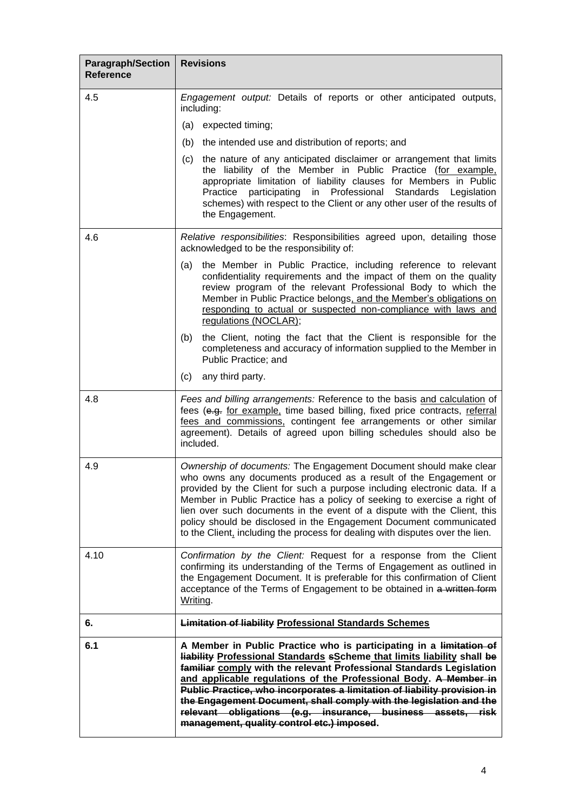| Paragraph/Section<br><b>Reference</b> | <b>Revisions</b>                                                                                                                                                                                                                                                                                                                                                                                                                                                                                                                                                |
|---------------------------------------|-----------------------------------------------------------------------------------------------------------------------------------------------------------------------------------------------------------------------------------------------------------------------------------------------------------------------------------------------------------------------------------------------------------------------------------------------------------------------------------------------------------------------------------------------------------------|
| 4.5                                   | Engagement output: Details of reports or other anticipated outputs,<br>including:                                                                                                                                                                                                                                                                                                                                                                                                                                                                               |
|                                       | (a) expected timing;                                                                                                                                                                                                                                                                                                                                                                                                                                                                                                                                            |
|                                       | (b)<br>the intended use and distribution of reports; and                                                                                                                                                                                                                                                                                                                                                                                                                                                                                                        |
|                                       | the nature of any anticipated disclaimer or arrangement that limits<br>(c)<br>the liability of the Member in Public Practice (for example,<br>appropriate limitation of liability clauses for Members in Public<br>Practice participating in Professional Standards Legislation<br>schemes) with respect to the Client or any other user of the results of<br>the Engagement.                                                                                                                                                                                   |
| 4.6                                   | Relative responsibilities: Responsibilities agreed upon, detailing those<br>acknowledged to be the responsibility of:                                                                                                                                                                                                                                                                                                                                                                                                                                           |
|                                       | the Member in Public Practice, including reference to relevant<br>(a)<br>confidentiality requirements and the impact of them on the quality<br>review program of the relevant Professional Body to which the<br>Member in Public Practice belongs, and the Member's obligations on<br>responding to actual or suspected non-compliance with laws and<br>regulations (NOCLAR);                                                                                                                                                                                   |
|                                       | the Client, noting the fact that the Client is responsible for the<br>(b)<br>completeness and accuracy of information supplied to the Member in<br>Public Practice; and                                                                                                                                                                                                                                                                                                                                                                                         |
|                                       | any third party.<br>(c)                                                                                                                                                                                                                                                                                                                                                                                                                                                                                                                                         |
| 4.8                                   | Fees and billing arrangements: Reference to the basis and calculation of<br>fees (e.g. for example, time based billing, fixed price contracts, referral<br>fees and commissions, contingent fee arrangements or other similar<br>agreement). Details of agreed upon billing schedules should also be<br>included.                                                                                                                                                                                                                                               |
| 4.9                                   | Ownership of documents: The Engagement Document should make clear<br>who owns any documents produced as a result of the Engagement or<br>provided by the Client for such a purpose including electronic data. If a<br>Member in Public Practice has a policy of seeking to exercise a right of<br>lien over such documents in the event of a dispute with the Client, this<br>policy should be disclosed in the Engagement Document communicated<br>to the Client, including the process for dealing with disputes over the lien.                               |
| 4.10                                  | Confirmation by the Client: Request for a response from the Client<br>confirming its understanding of the Terms of Engagement as outlined in<br>the Engagement Document. It is preferable for this confirmation of Client<br>acceptance of the Terms of Engagement to be obtained in a written form<br>Writing.                                                                                                                                                                                                                                                 |
| 6.                                    | <b>Limitation of liability Professional Standards Schemes</b>                                                                                                                                                                                                                                                                                                                                                                                                                                                                                                   |
| 6.1                                   | A Member in Public Practice who is participating in a limitation of<br><b>Hability Professional Standards sScheme that limits liability shall be</b><br>familiar comply with the relevant Professional Standards Legislation<br>and applicable regulations of the Professional Body. A Member in<br>Public Practice, who incorporates a limitation of liability provision in<br>the Engagement Document, shall comply with the legislation and the<br>relevant obligations (e.g. insurance, business assets, risk<br>management, quality control etc.) imposed. |